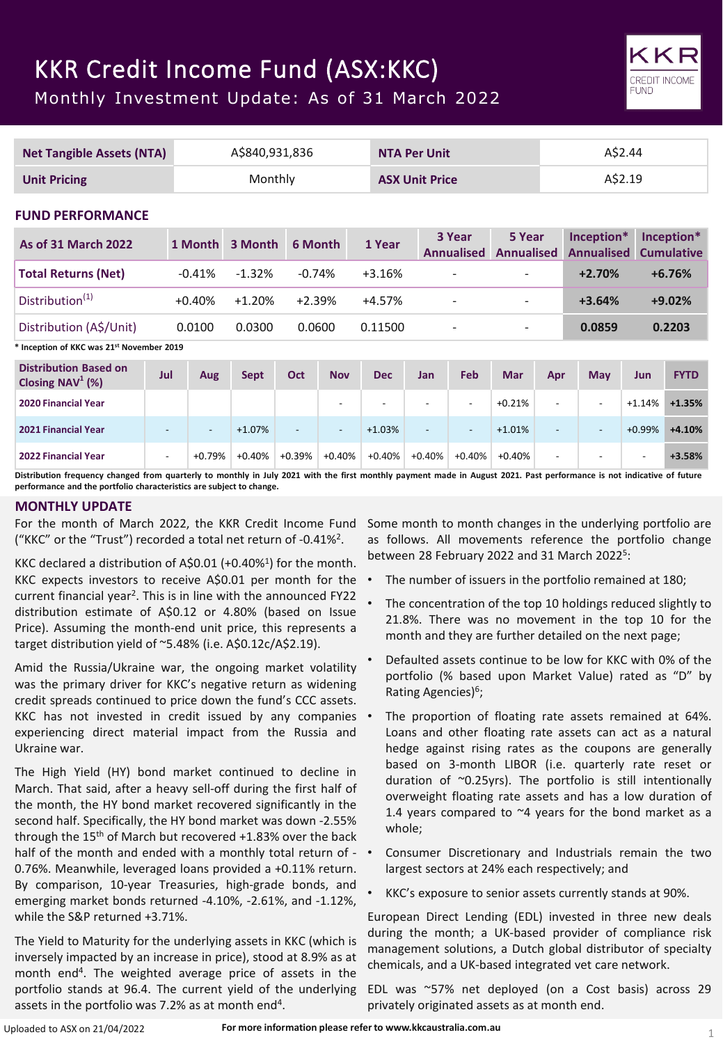# KKR Credit Income Fund (ASX:KKC)

Monthly Investment Update: As of 31 March 2022

| <b>Net Tangible Assets (NTA)</b>                             |                          | A\$840,931,836           |             |                          | <b>NTA Per Unit</b>      |                          |                          |                             | A\$2.44                     |                          |                                 |                          |                                 |
|--------------------------------------------------------------|--------------------------|--------------------------|-------------|--------------------------|--------------------------|--------------------------|--------------------------|-----------------------------|-----------------------------|--------------------------|---------------------------------|--------------------------|---------------------------------|
| <b>Unit Pricing</b>                                          |                          | Monthly                  |             |                          | <b>ASX Unit Price</b>    |                          |                          |                             | A\$2.19                     |                          |                                 |                          |                                 |
| <b>FUND PERFORMANCE</b>                                      |                          |                          |             |                          |                          |                          |                          |                             |                             |                          |                                 |                          |                                 |
| <b>As of 31 March 2022</b>                                   |                          | 1 Month                  | 3 Month     | 6 Month                  |                          | 1 Year                   |                          | 3 Year<br><b>Annualised</b> | 5 Year<br><b>Annualised</b> |                          | Inception*<br><b>Annualised</b> |                          | Inception*<br><b>Cumulative</b> |
| <b>Total Returns (Net)</b>                                   |                          | $-0.41%$                 | $-1.32%$    | $-0.74%$                 |                          | $+3.16%$                 |                          | $\overline{\phantom{a}}$    |                             |                          | $+2.70%$                        |                          | $+6.76%$                        |
| Distribution <sup>(1)</sup>                                  |                          | $+0.40%$                 | $+1.20%$    | $+2.39%$                 |                          | $+4.57%$                 |                          | -                           |                             |                          | $+3.64%$                        |                          | $+9.02%$                        |
| Distribution (A\$/Unit)                                      |                          | 0.0100                   | 0.0300      | 0.0600                   |                          | 0.11500                  |                          |                             | $\qquad \qquad -$           |                          | 0.0859                          |                          | 0.2203                          |
| * Inception of KKC was 21 <sup>st</sup> November 2019        |                          |                          |             |                          |                          |                          |                          |                             |                             |                          |                                 |                          |                                 |
| <b>Distribution Based on</b><br>Closing NAV <sup>1</sup> (%) | Jul                      | Aug                      | <b>Sept</b> | Oct                      | <b>Nov</b>               | <b>Dec</b>               | Jan                      | Feb                         | <b>Mar</b>                  | Apr                      | May                             | <b>Jun</b>               | <b>FYTD</b>                     |
| <b>2020 Financial Year</b>                                   |                          |                          |             |                          | ۰                        | $\overline{\phantom{a}}$ | $\overline{\phantom{a}}$ | ٠                           | $+0.21%$                    | $\overline{\phantom{a}}$ |                                 | $+1.14%$                 | $+1.35%$                        |
| 2021 Financial Year                                          | $\overline{\phantom{0}}$ | $\overline{\phantom{a}}$ | $+1.07%$    | $\overline{\phantom{a}}$ | $\overline{\phantom{a}}$ | $+1.03%$                 | $\overline{\phantom{a}}$ | $\overline{\phantom{a}}$    | $+1.01%$                    | $\overline{\phantom{a}}$ |                                 | $+0.99%$                 | $+4.10%$                        |
| <b>2022 Financial Year</b>                                   | $\blacksquare$           | +0.79%                   | $+0.40%$    | $+0.39%$                 | $+0.40%$                 | $+0.40%$                 | $+0.40%$                 | $+0.40%$                    | $+0.40%$                    | $\overline{\phantom{a}}$ |                                 | $\overline{\phantom{a}}$ | $+3.58%$                        |

Distribution frequency changed from quarterly to monthly in July 2021 with the first monthly payment made in August 2021. Past performance is not indicative of future **performance and the portfolio characteristics are subject to change.**

## **MONTHLY UPDATE**

For the month of March 2022, the KKR Credit Income Fund ("KKC" or the "Trust") recorded a total net return of -0.41%2.

KKC declared a distribution of A\$0.01 (+0.40%<sup>1</sup>) for the month. KKC expects investors to receive A\$0.01 per month for the current financial year<sup>2</sup>. This is in line with the announced FY22 distribution estimate of A\$0.12 or 4.80% (based on Issue Price). Assuming the month-end unit price, this represents a target distribution yield of ~5.48% (i.e. A\$0.12c/A\$2.19).

Amid the Russia/Ukraine war, the ongoing market volatility was the primary driver for KKC's negative return as widening credit spreads continued to price down the fund's CCC assets. KKC has not invested in credit issued by any companies experiencing direct material impact from the Russia and Ukraine war.

The High Yield (HY) bond market continued to decline in March. That said, after a heavy sell-off during the first half of the month, the HY bond market recovered significantly in the second half. Specifically, the HY bond market was down -2.55% through the 15th of March but recovered +1.83% over the back half of the month and ended with a monthly total return of -  $\bullet$ 0.76%. Meanwhile, leveraged loans provided a +0.11% return. By comparison, 10-year Treasuries, high-grade bonds, and emerging market bonds returned -4.10%, -2.61%, and -1.12%, while the S&P returned +3.71%.

The Yield to Maturity for the underlying assets in KKC (which is inversely impacted by an increase in price), stood at 8.9% as at month end<sup>4</sup>. The weighted average price of assets in the portfolio stands at 96.4. The current yield of the underlying assets in the portfolio was 7.2% as at month end<sup>4</sup>.

Some month to month changes in the underlying portfolio are as follows. All movements reference the portfolio change between 28 February 2022 and 31 March 2022<sup>5</sup>:

**CREDIT INCOM FUND** 

- The number of issuers in the portfolio remained at 180;
- The concentration of the top 10 holdings reduced slightly to 21.8%. There was no movement in the top 10 for the month and they are further detailed on the next page;
- Defaulted assets continue to be low for KKC with 0% of the portfolio (% based upon Market Value) rated as "D" by Rating Agencies)<sup>6</sup>;
- The proportion of floating rate assets remained at 64%. Loans and other floating rate assets can act as a natural hedge against rising rates as the coupons are generally based on 3-month LIBOR (i.e. quarterly rate reset or duration of ~0.25yrs). The portfolio is still intentionally overweight floating rate assets and has a low duration of 1.4 years compared to  $\sim$ 4 years for the bond market as a whole;
- Consumer Discretionary and Industrials remain the two largest sectors at 24% each respectively; and
- KKC's exposure to senior assets currently stands at 90%.

European Direct Lending (EDL) invested in three new deals during the month; a UK-based provider of compliance risk management solutions, a Dutch global distributor of specialty chemicals, and a UK-based integrated vet care network.

EDL was ~57% net deployed (on a Cost basis) across 29 privately originated assets as at month end.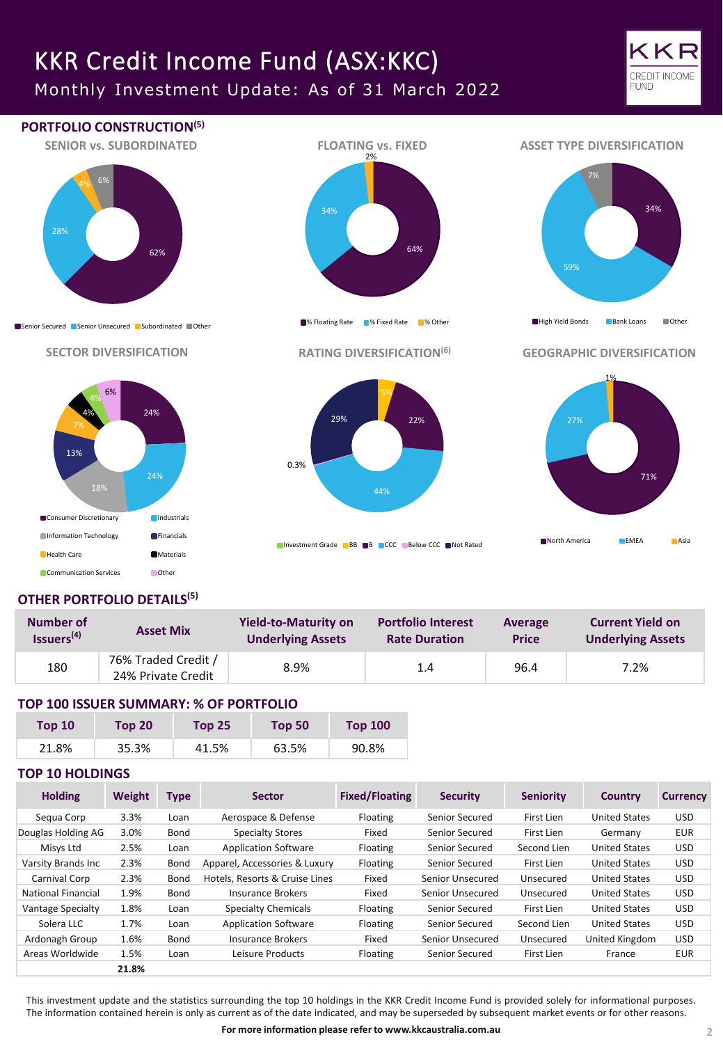# KKR Credit Income Fund (ASX:KKC)

Monthly Investment Update: As of 31 March 2022





# **OTHER PORTFOLIO DETAILS(5)**

| Number of              | <b>Asset Mix</b>                          | <b>Yield-to-Maturity on</b> | <b>Portfolio Interest</b> | Average      | <b>Current Yield on</b>  |  |
|------------------------|-------------------------------------------|-----------------------------|---------------------------|--------------|--------------------------|--|
| Issuers <sup>(4)</sup> |                                           | <b>Underlying Assets</b>    | <b>Rate Duration</b>      | <b>Price</b> | <b>Underlying Assets</b> |  |
| 180                    | 76% Traded Credit /<br>24% Private Credit | 8.9%                        | 1.4                       | 96.4         | 7.2%                     |  |

## **TOP 100 ISSUER SUMMARY: % OF PORTFOLIO**

| Top 10 | Top 20 | Top $251$ | Top 50 | <b>Top 100</b> |
|--------|--------|-----------|--------|----------------|
| 21.8%  | 35.3%  | 41.5%     | 63.5%  | 90.8%          |

## **TOP 10 HOLDINGS**

| <b>Holding</b>     | Weight | <b>Type</b> | <b>Sector</b>                  | <b>Fixed/Floating</b> | <b>Security</b>  | <b>Seniority</b> | Country              | <b>Currency</b> |
|--------------------|--------|-------------|--------------------------------|-----------------------|------------------|------------------|----------------------|-----------------|
| Segua Corp         | 3.3%   | Loan        | Aerospace & Defense            | Floating              | Senior Secured   | First Lien       | <b>United States</b> | <b>USD</b>      |
| Douglas Holding AG | 3.0%   | Bond        | Specialty Stores               | Fixed                 | Senior Secured   | First Lien       | Germany              | <b>EUR</b>      |
| Misys Ltd          | 2.5%   | Loan        | <b>Application Software</b>    | Floating              | Senior Secured   | Second Lien      | <b>United States</b> | <b>USD</b>      |
| Varsity Brands Inc | 2.3%   | Bond        | Apparel, Accessories & Luxury  | Floating              | Senior Secured   | First Lien       | <b>United States</b> | <b>USD</b>      |
| Carnival Corp      | 2.3%   | Bond        | Hotels, Resorts & Cruise Lines | Fixed                 | Senior Unsecured | Unsecured        | <b>United States</b> | <b>USD</b>      |
| National Financial | 1.9%   | Bond        | Insurance Brokers              | Fixed                 | Senior Unsecured | Unsecured        | <b>United States</b> | USD.            |
| Vantage Specialty  | 1.8%   | Loan        | <b>Specialty Chemicals</b>     | Floating              | Senior Secured   | First Lien       | <b>United States</b> | <b>USD</b>      |
| Solera LLC         | 1.7%   | Loan        | <b>Application Software</b>    | Floating              | Senior Secured   | Second Lien      | <b>United States</b> | USD.            |
| Ardonagh Group     | 1.6%   | Bond        | Insurance Brokers              | Fixed                 | Senior Unsecured | Unsecured        | United Kingdom       | <b>USD</b>      |
| Areas Worldwide    | 1.5%   | Loan        | Leisure Products               | Floating              | Senior Secured   | First Lien       | France               | <b>EUR</b>      |
|                    | 21.8%  |             |                                |                       |                  |                  |                      |                 |

This investment update and the statistics surrounding the top 10 holdings in the KKR Credit Income Fund is provided solely for informational purposes. The information contained herein is only as current as of the date indicated, and may be superseded by subsequent market events or for other reasons.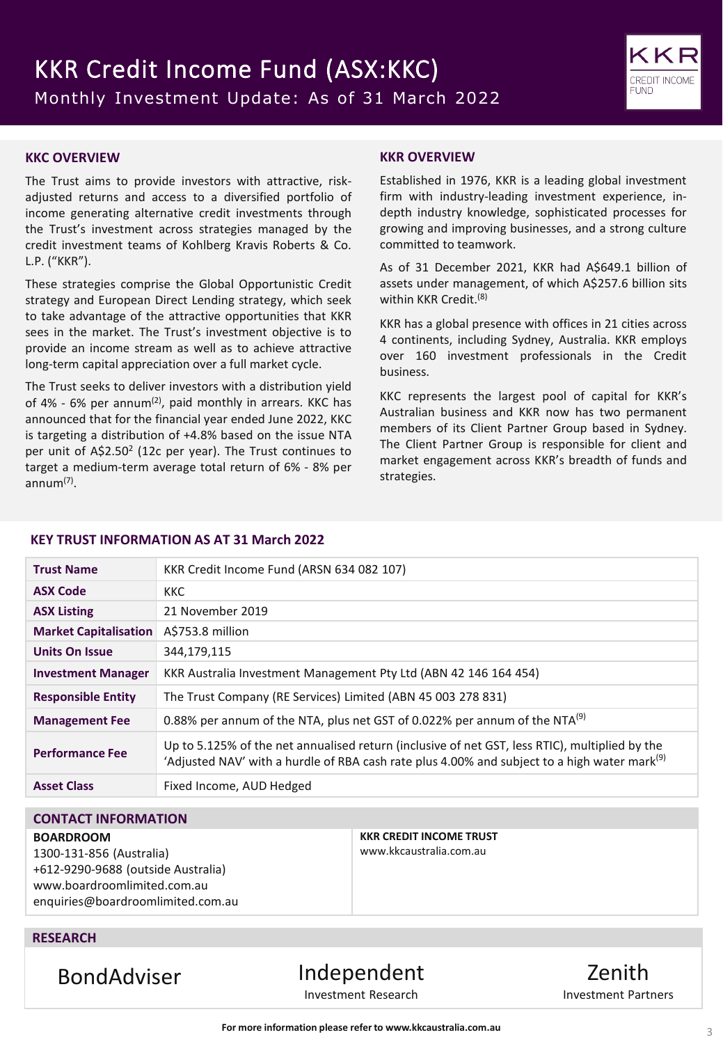

### **KKC OVERVIEW**

The Trust aims to provide investors with attractive, riskadjusted returns and access to a diversified portfolio of income generating alternative credit investments through the Trust's investment across strategies managed by the credit investment teams of Kohlberg Kravis Roberts & Co. L.P. ("KKR").

These strategies comprise the Global Opportunistic Credit strategy and European Direct Lending strategy, which seek to take advantage of the attractive opportunities that KKR sees in the market. The Trust's investment objective is to provide an income stream as well as to achieve attractive long-term capital appreciation over a full market cycle.

The Trust seeks to deliver investors with a distribution yield of 4% - 6% per annum<sup>(2)</sup>, paid monthly in arrears. KKC has announced that for the financial year ended June 2022, KKC is targeting a distribution of +4.8% based on the issue NTA per unit of A\$2.50<sup>2</sup> (12c per year). The Trust continues to target a medium-term average total return of 6% - 8% per annum(7) .

### **KKR OVERVIEW**

Established in 1976, KKR is a leading global investment firm with industry-leading investment experience, indepth industry knowledge, sophisticated processes for growing and improving businesses, and a strong culture committed to teamwork.

As of 31 December 2021, KKR had A\$649.1 billion of assets under management, of which A\$257.6 billion sits within KKR Credit. (8)

KKR has a global presence with offices in 21 cities across 4 continents, including Sydney, Australia. KKR employs over 160 investment professionals in the Credit business.

KKC represents the largest pool of capital for KKR's Australian business and KKR now has two permanent members of its Client Partner Group based in Sydney. The Client Partner Group is responsible for client and market engagement across KKR's breadth of funds and strategies.

#### **KEY TRUST INFORMATION AS AT 31 March 2022**

| <b>Trust Name</b>            | KKR Credit Income Fund (ARSN 634 082 107)                                                                                                                                                                  |
|------------------------------|------------------------------------------------------------------------------------------------------------------------------------------------------------------------------------------------------------|
| <b>ASX Code</b>              | <b>KKC</b>                                                                                                                                                                                                 |
| <b>ASX Listing</b>           | 21 November 2019                                                                                                                                                                                           |
| <b>Market Capitalisation</b> | A\$753.8 million                                                                                                                                                                                           |
| <b>Units On Issue</b>        | 344,179,115                                                                                                                                                                                                |
| <b>Investment Manager</b>    | KKR Australia Investment Management Pty Ltd (ABN 42 146 164 454)                                                                                                                                           |
| <b>Responsible Entity</b>    | The Trust Company (RE Services) Limited (ABN 45 003 278 831)                                                                                                                                               |
| <b>Management Fee</b>        | 0.88% per annum of the NTA, plus net GST of 0.022% per annum of the NTA <sup>(9)</sup>                                                                                                                     |
| <b>Performance Fee</b>       | Up to 5.125% of the net annualised return (inclusive of net GST, less RTIC), multiplied by the<br>'Adjusted NAV' with a hurdle of RBA cash rate plus 4.00% and subject to a high water mark <sup>(9)</sup> |
| <b>Asset Class</b>           | Fixed Income, AUD Hedged                                                                                                                                                                                   |
|                              |                                                                                                                                                                                                            |

## **CONTACT INFORMATION**

#### **BOARDROOM**

1300-131-856 (Australia) +612-9290-9688 (outside Australia) www.boardroomlimited.com.au enquiries@boardroomlimited.com.au **KKR CREDIT INCOME TRUST** www.kkcaustralia.com.au

### **RESEARCH**

BondAdviser Independent Investment Research

Zenith Investment Partners

**For more information please refer to www.kkcaustralia.com.au**